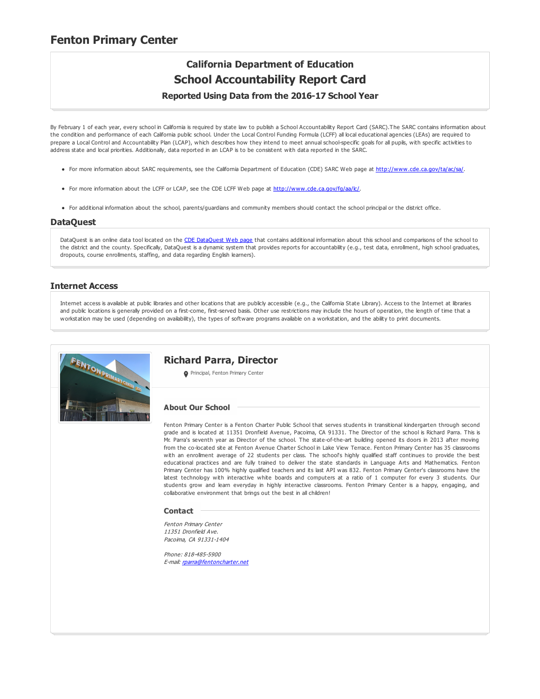### **Fenton Primary Center**

## **California Department of Education School Accountability Report Card Reported Using Data from the 2016-17 School Year**

By February 1 of each year, every school in California is required by state law to publish a School Accountability Report Card (SARC).The SARC contains information about the condition and performance of each California public school. Under the Local Control Funding Formula (LCFF) all local educational agencies (LEAs) are required to prepare a Local Control and Accountability Plan (LCAP), which describes how they intend to meet annual school-specific goals for all pupils, with specific activities to address state and local priorities. Additionally, data reported in an LCAP is to be consistent with data reported in the SARC.

- For more information about SARC requirements, see the California Department of Education (CDE) SARC Web page at <http://www.cde.ca.gov/ta/ac/sa/>.
- For more information about the LCFF or LCAP, see the CDE LCFF Web page at <http://www.cde.ca.gov/fg/aa/lc/>.
- For additional information about the school, parents/guardians and community members should contact the school principal or the district office.

#### **DataQuest**

[DataQuest](http://dq.cde.ca.gov/dataquest/) is an online data tool located on the CDE DataQuest Web page that contains additional information about this school and comparisons of the school to the district and the county. Specifically, DataQuest is a dynamic system that provides reports for accountability (e.g., test data, enrollment, high school graduates, dropouts, course enrollments, staffing, and data regarding English learners).

#### **Internet Access**

Internet access is available at public libraries and other locations that are publicly accessible (e.g., the California State Library). Access to the Internet at libraries and public locations is generally provided on a first-come, first-served basis. Other use restrictions may include the hours of operation, the length of time that a workstation may be used (depending on availability), the types of software programs available on a workstation, and the ability to print documents.



#### **Richard Parra, Director**

**Principal, Fenton Primary Center** 

#### **About Our School**

Fenton Primary Center is a Fenton Charter Public School that serves students in transitional kindergarten through second grade and is located at 11351 Dronfield Avenue, Pacoima, CA 91331. The Director of the school is Richard Parra. This is Mr. Parra's seventh year as Director of the school. The state-of-the-art building opened its doors in 2013 after moving from the co-located site at Fenton Avenue Charter School in Lake View Terrace. Fenton Primary Center has 35 classrooms with an enrollment average of 22 students per class. The school's highly qualified staff continues to provide the best educational practices and are fully trained to deliver the state standards in Language Arts and Mathematics. Fenton Primary Center has 100% highly qualified teachers and its last API was 832. Fenton Primary Center's classrooms have the latest technology with interactive white boards and computers at a ratio of 1 computer for every 3 students. Our students grow and learn everyday in highly interactive classrooms. Fenton Primary Center is a happy, engaging, and collaborative environment that brings out the best in all children!

#### **Contact**

Fenton Primary Center 11351 Dronfield Ave. Pacoima, CA 91331-1404

Phone: 818-485-5900 E-mail: [rparra@fentoncharter.net](mailto:rparra@fentoncharter.net)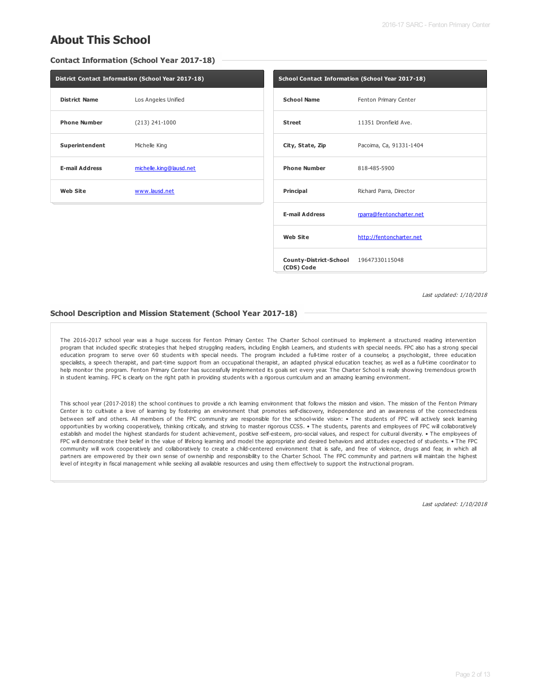## **About This School**

**Contact Information (School Year 2017-18)**

|                       | District Contact Information (School Year 2017-18) |                       | School Contact Information (School Year 2017-18) |
|-----------------------|----------------------------------------------------|-----------------------|--------------------------------------------------|
| <b>District Name</b>  | Los Angeles Unified                                | <b>School Name</b>    | Fenton Primary Center                            |
| <b>Phone Number</b>   | $(213)$ 241-1000                                   | <b>Street</b>         | 11351 Dronfield Ave.                             |
| Superintendent        | Michelle King                                      | City, State, Zip      | Pacoima, Ca, 91331-1404                          |
| <b>E-mail Address</b> | michelle.king@lausd.net                            | <b>Phone Number</b>   | 818-485-5900                                     |
| <b>Web Site</b>       | www.lausd.net                                      | Principal             | Richard Parra, Director                          |
|                       |                                                    | <b>E-mail Address</b> | rparra@fentoncharter.net                         |
|                       |                                                    | <b>Web Site</b>       | http://fentoncharter.net                         |

Last updated: 1/10/2018

#### **School Description and Mission Statement (School Year 2017-18)**

The 2016-2017 school year was a huge success for Fenton Primary Center. The Charter School continued to implement a structured reading intervention program that included specific strategies that helped struggling readers, including English Learners, and students with special needs. FPC also has a strong special education program to serve over 60 students with special needs. The program included a full-time roster of a counselor, a psychologist, three education specialists, a speech therapist, and part-time support from an occupational therapist, an adapted physical education teacher, as well as a full-time coordinator to help monitor the program. Fenton Primary Center has successfully implemented its goals set every year. The Charter School is really showing tremendous growth in student learning. FPC is clearly on the right path in providing students with a rigorous curriculum and an amazing learning environment.

**County-District-School** 19647330115048

**(CDS) Code**

This school year (2017-2018) the school continues to provide a rich learning environment that follows the mission and vision. The mission of the Fenton Primary Center is to cultivate a love of learning by fostering an environment that promotes self-discovery, independence and an awareness of the connectedness between self and others. All members of the FPC community are responsible for the school-wide vision: • The students of FPC will actively seek learning opportunities by working cooperatively, thinking critically, and striving to master rigorous CCSS. • The students, parents and employees of FPC will collaboratively establish and model the highest standards for student achievement, positive self-esteem, pro-social values, and respect for cultural diversity. • The employees of FPC will demonstrate their belief in the value of lifelong learning and model the appropriate and desired behaviors and attitudes expected of students. • The FPC community will work cooperatively and collaboratively to create a child-centered environment that is safe, and free of violence, drugs and fear, in which all partners are empowered by their own sense of ownership and responsibility to the Charter School. The FPC community and partners will maintain the highest level of integrity in fiscal management while seeking all available resources and using them effectively to support the instructional program.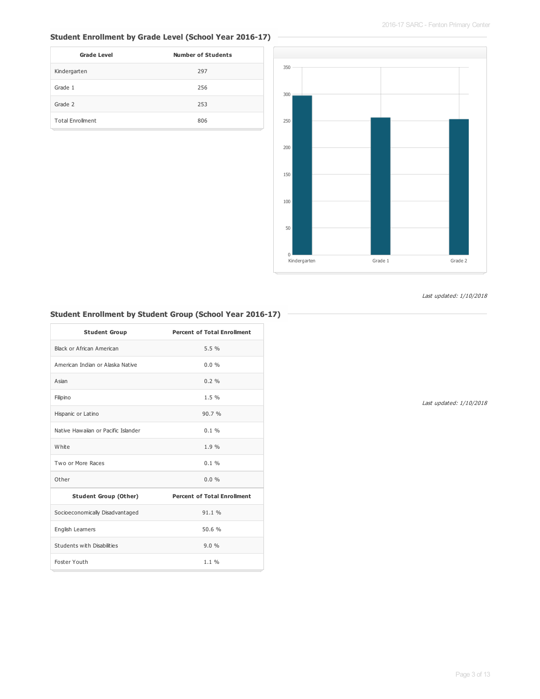### **Student Enrollment by Grade Level (School Year 2016-17)**

| <b>Grade Level</b>      | <b>Number of Students</b> |
|-------------------------|---------------------------|
| Kindergarten            | 297                       |
| Grade 1                 | 256                       |
| Grade 2                 | 253                       |
| <b>Total Enrollment</b> | 806                       |



#### Last updated: 1/10/2018

### **Student Enrollment by Student Group (School Year 2016-17)**

| <b>Student Group</b>                | <b>Percent of Total Enrollment</b> |
|-------------------------------------|------------------------------------|
| Black or African American           | 5.5%                               |
| American Indian or Alaska Native    | 0.0%                               |
| Asian                               | $0.2 \%$                           |
| Filipino                            | 1.5%                               |
| Hispanic or Latino                  | 90.7%                              |
| Native Hawaijan or Pacific Islander | $0.1 \%$                           |
| White                               | 1.9%                               |
| Two or More Races                   | 0.1%                               |
| Other                               | $0.0\%$                            |
| <b>Student Group (Other)</b>        | <b>Percent of Total Enrollment</b> |
| Socioeconomically Disadvantaged     | 91.1 %                             |
| English Learners                    | 50.6%                              |
| Students with Disabilities          | 9.0%                               |
| Foster Youth                        | $1.1 \%$                           |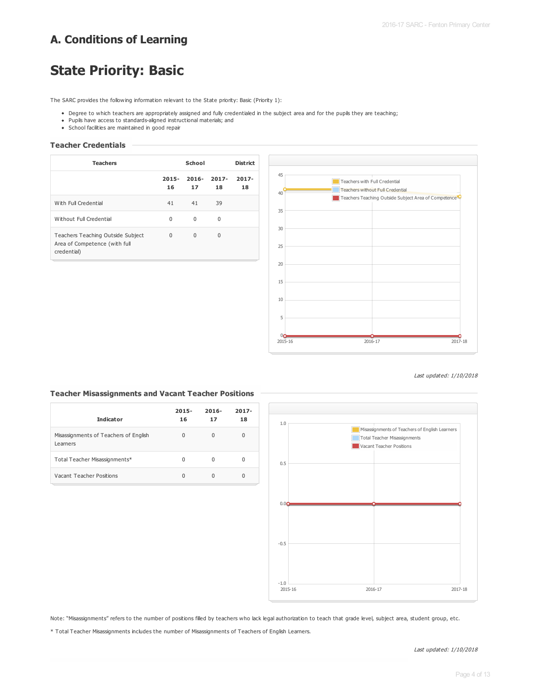## **A. Conditions of Learning**

# **State Priority: Basic**

The SARC provides the following information relevant to the State priority: Basic (Priority 1):

- Degree to which teachers are appropriately assigned and fully credentialed in the subject area and for the pupils they are teaching;
- Pupils have access to standards-aligned instructional materials; and
- School facilities are maintained in good repair

#### **Teacher Credentials**

| <b>Teachers</b>                                                                   |                | <b>District</b> |                |                |
|-----------------------------------------------------------------------------------|----------------|-----------------|----------------|----------------|
|                                                                                   | $2015 -$<br>16 | $2016 -$<br>17  | $2017 -$<br>18 | $2017 -$<br>18 |
| With Full Credential                                                              | 41             | 41              | 39             |                |
| Without Full Credential                                                           | $\Omega$       | $\Omega$        | 0              |                |
| Teachers Teaching Outside Subject<br>Area of Competence (with full<br>credential) | $\Omega$       | $\Omega$        | $\Omega$       |                |



Last updated: 1/10/2018

#### **Teacher Misassignments and Vacant Teacher Positions**

| <b>Indicator</b>                                  | $2015 -$<br>16 | $2016 -$<br>17 | $2017 -$<br>18 |
|---------------------------------------------------|----------------|----------------|----------------|
| Misassignments of Teachers of English<br>Learners | 0              | 0              | 0              |
| Total Teacher Misassignments*                     | <sup>0</sup>   | 0              | O              |
| Vacant Teacher Positions                          | <sup>0</sup>   | 0              | <sup>0</sup>   |



Note: "Misassignments" refers to the number of positions filled by teachers who lack legal authorization to teach that grade level, subject area, student group, etc.

\* Total Teacher Misassignments includes the number of Misassignments of Teachers of English Learners.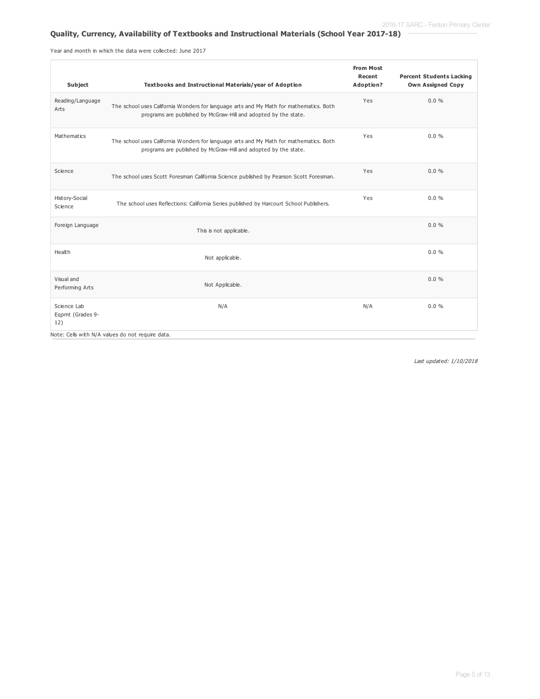#### **Quality, Currency, Availability of Textbooks and Instructional Materials (School Year 2017-18)**

Year and month in which the data were collected: June 2017

| <b>Subject</b>                         | Textbooks and Instructional Materials/year of Adoption                                                                                                    | <b>From Most</b><br>Recent<br>Adoption? | <b>Percent Students Lacking</b><br><b>Own Assigned Copy</b> |
|----------------------------------------|-----------------------------------------------------------------------------------------------------------------------------------------------------------|-----------------------------------------|-------------------------------------------------------------|
| Reading/Language<br>Arts               | The school uses California Wonders for language arts and My Math for mathematics. Both<br>programs are published by McGraw-Hill and adopted by the state. | Yes                                     | 0.0%                                                        |
| Mathematics                            | The school uses California Wonders for language arts and My Math for mathematics. Both<br>programs are published by McGraw-Hill and adopted by the state. | Yes                                     | $0.0\%$                                                     |
| Science                                | The school uses Scott Foresman California Science published by Pearson Scott Foresman.                                                                    | Yes                                     | $0.0\%$                                                     |
| History-Social<br>Science              | The school uses Reflections: California Series published by Harcourt School Publishers.                                                                   | Yes                                     | 0.0%                                                        |
| Foreign Language                       | This is not applicable.                                                                                                                                   |                                         | 0.0%                                                        |
| Health                                 | Not applicable.                                                                                                                                           |                                         | 0.0%                                                        |
| Visual and<br>Performing Arts          | Not Applicable.                                                                                                                                           |                                         | 0.0%                                                        |
| Science Lab<br>Eqpmt (Grades 9-<br>12) | N/A                                                                                                                                                       | N/A                                     | 0.0%                                                        |
|                                        | Note: Cells with N/A values do not require data.                                                                                                          |                                         |                                                             |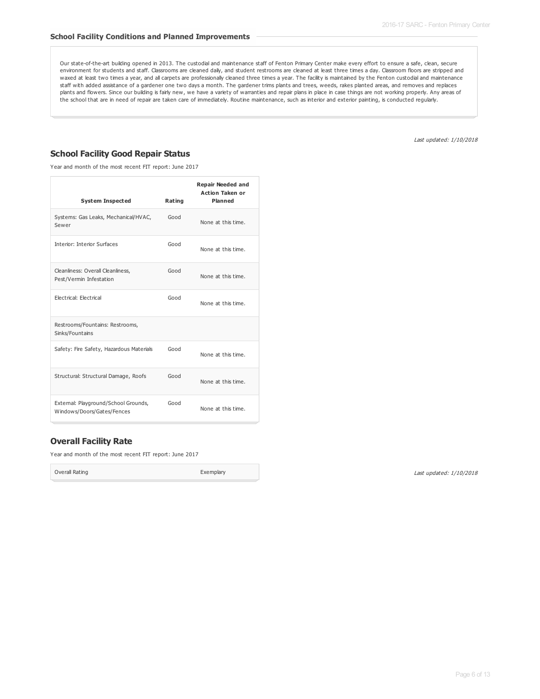Our state-of-the-art building opened in 2013. The custodial and maintenance staff of Fenton Primary Center make every effort to ensure a safe, clean, secure environment for students and staff. Classrooms are cleaned daily, and student restrooms are cleaned at least three times a day. Classroom floors are stripped and waxed at least two times a year, and all carpets are professionally cleaned three times a year. The facility is maintained by the Fenton custodial and maintenance staff with added assistance of a gardener one two days a month. The gardener trims plants and trees, weeds, rakes planted areas, and removes and replaces plants and flowers. Since our building is fairly new, we have a variety of warranties and repair plans in place in case things are not working properly. Any areas of the school that are in need of repair are taken care of immediately. Routine maintenance, such as interior and exterior painting, is conducted regularly.

Last updated: 1/10/2018

#### **School Facility Good Repair Status**

Year and month of the most recent FIT report: June 2017

| <b>System Inspected</b>                                            | Rating | <b>Repair Needed and</b><br><b>Action Taken or</b><br>Planned |
|--------------------------------------------------------------------|--------|---------------------------------------------------------------|
| Systems: Gas Leaks, Mechanical/HVAC,<br>Sewer                      | Good   | None at this time.                                            |
| <b>Interior: Interior Surfaces</b>                                 | Good   | None at this time.                                            |
| Cleanliness: Overall Cleanliness,<br>Pest/Vermin Infestation       | Good   | None at this time.                                            |
| Electrical: Electrical                                             | Good   | None at this time.                                            |
| Restrooms/Fountains: Restrooms,<br>Sinks/Fountains                 |        |                                                               |
| Safety: Fire Safety, Hazardous Materials                           | Good   | None at this time.                                            |
| Structural: Structural Damage, Roofs                               | Good   | None at this time.                                            |
| External: Playground/School Grounds,<br>Windows/Doors/Gates/Fences | Good   | None at this time.                                            |

#### **Overall Facility Rate**

Year and month of the most recent FIT report: June 2017

Overall Rating **Exemplary**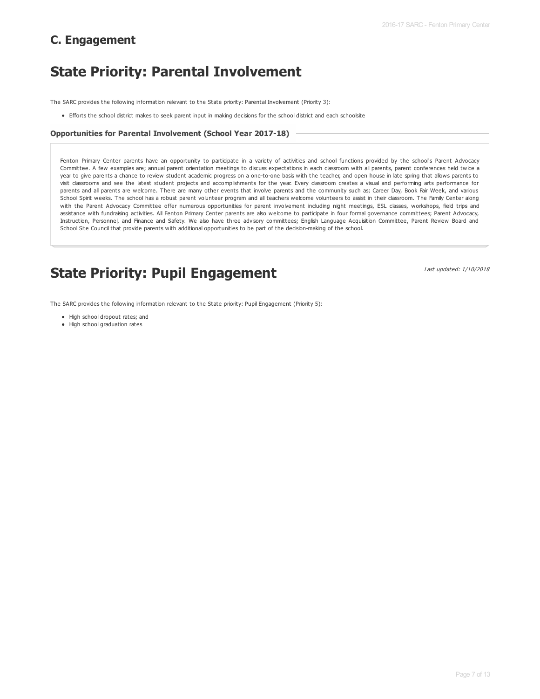## **C. Engagement**

# **State Priority: Parental Involvement**

The SARC provides the following information relevant to the State priority: Parental Involvement (Priority 3):

Efforts the school district makes to seek parent input in making decisions for the school district and each schoolsite

#### **Opportunities for Parental Involvement (School Year 2017-18)**

Fenton Primary Center parents have an opportunity to participate in a variety of activities and school functions provided by the school's Parent Advocacy Committee. A few examples are; annual parent orientation meetings to discuss expectations in each classroom with all parents, parent conferences held twice a year to give parents a chance to review student academic progress on a one-to-one basis with the teacher, and open house in late spring that allows parents to visit classrooms and see the latest student projects and accomplishments for the year. Every classroom creates a visual and performing arts performance for parents and all parents are welcome. There are many other events that involve parents and the community such as; Career Day, Book Fair Week, and various School Spirit weeks. The school has a robust parent volunteer program and all teachers welcome volunteers to assist in their classroom. The Family Center along with the Parent Advocacy Committee offer numerous opportunities for parent involvement including night meetings, ESL classes, workshops, field trips and assistance with fundraising activities. All Fenton Primary Center parents are also welcome to participate in four formal governance committees; Parent Advocacy, Instruction, Personnel, and Finance and Safety. We also have three advisory committees; English Language Acquisition Committee, Parent Review Board and School Site Council that provide parents with additional opportunities to be part of the decision-making of the school.

## **State Priority: Pupil Engagement**

Last updated: 1/10/2018

The SARC provides the following information relevant to the State priority: Pupil Engagement (Priority 5):

- High school dropout rates; and
- High school graduation rates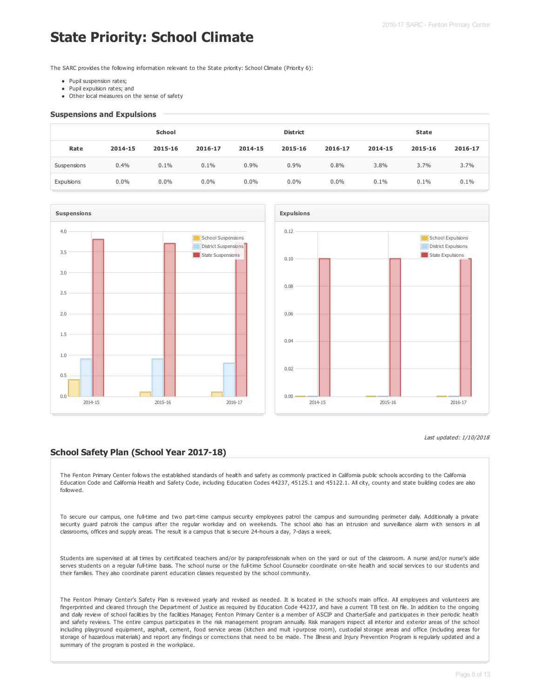# **State Priority: School Climate**

The SARC provides the following information relevant to the State priority: School Climate (Priority 6):

- Pupil suspension rates;
- Pupil expulsion rates; and
- Other local measures on the sense of safety

#### **Suspensions and Expulsions**

|             | <b>School</b> |         |         | <b>District</b> |         |         | <b>State</b> |         |         |
|-------------|---------------|---------|---------|-----------------|---------|---------|--------------|---------|---------|
| Rate        | 2014-15       | 2015-16 | 2016-17 | 2014-15         | 2015-16 | 2016-17 | 2014-15      | 2015-16 | 2016-17 |
| Suspensions | 0.4%          | 0.1%    | 0.1%    | 0.9%            | 0.9%    | 0.8%    | 3.8%         | 3.7%    | 3.7%    |
| Expulsions  | $0.0\%$       | $0.0\%$ | $0.0\%$ | $0.0\%$         | $0.0\%$ | $0.0\%$ | 0.1%         | 0.1%    | 0.1%    |





#### Last updated: 1/10/2018

#### **School Safety Plan (School Year 2017-18)**

The Fenton Primary Center follows the established standards of health and safety as commonly practiced in California public schools according to the California Education Code and California Health and Safety Code, including Education Codes 44237, 45125.1 and 45122.1. All city, county and state building codes are also followed.

To secure our campus, one full-time and two part-time campus security employees patrol the campus and surrounding perimeter daily. Additionally a private security guard patrols the campus after the regular workday and on weekends. The school also has an intrusion and surveillance alarm with sensors in all classrooms, offices and supply areas. The result is a campus that is secure 24-hours a day, 7-days a week.

Students are supervised at all times by certificated teachers and/or by paraprofessionals when on the yard or out of the classroom. A nurse and/or nurse's aide serves students on a regular full-time basis. The school nurse or the full-time School Counselor coordinate on-site health and social services to our students and their families. They also coordinate parent education classes requested by the school community.

The Fenton Primary Center's Safety Plan is reviewed yearly and revised as needed. It is located in the school's main office. All employees and volunteers are fingerprinted and cleared through the Department of Justice as required by Education Code 44237, and have a current TB test on file. In addition to the ongoing and daily review of school facilities by the facilities Manager, Fenton Primary Center is a member of ASCIP and CharterSafe and participates in their periodic health and safety reviews. The entire campus participates in the risk management program annually. Risk managers inspect all interior and exterior areas of the school including playground equipment, asphalt, cement, food service areas (kitchen and mult i-purpose room), custodial storage areas and office (including areas for storage of hazardous materials) and report any findings or corrections that need to be made. The Illness and Injury Prevention Program is regularly updated and a summary of the program is posted in the workplace.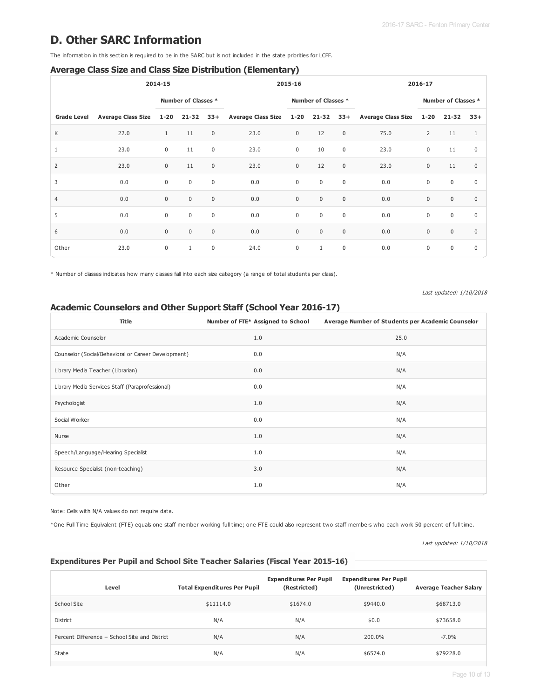## **D. Other SARC Information**

The information in this section is required to be in the SARC but is not included in the state priorities for LCFF.

#### **Average Class Size and Class Size Distribution (Elementary)**

| 2014-15            |                           |              | 2015-16             |              |                         |             | 2016-17             |                  |                           |                  |                     |              |
|--------------------|---------------------------|--------------|---------------------|--------------|-------------------------|-------------|---------------------|------------------|---------------------------|------------------|---------------------|--------------|
|                    |                           |              | Number of Classes * |              |                         |             | Number of Classes * |                  |                           |                  | Number of Classes * |              |
| <b>Grade Level</b> | <b>Average Class Size</b> | $1 - 20$     | $21 - 32$           | $33+$        | Average Class Size 1-20 |             | $21 - 32$           | $33+$            | <b>Average Class Size</b> | $1 - 20$         | 21-32               | $33+$        |
| K                  | 22.0                      | $\mathbf{1}$ | 11                  | $\mathbf{0}$ | 23.0                    | $\mathbf 0$ | 12                  | $\mathbf 0$      | 75.0                      | $\overline{2}$   | 11                  | 1            |
| $\mathbf{1}$       | 23.0                      | $\mathbf 0$  | 11                  | $\mathbf 0$  | 23.0                    | $\mathbf 0$ | 10                  | $\mathbf 0$      | 23.0                      | $\boldsymbol{0}$ | 11                  | $\mathbf 0$  |
| $\overline{2}$     | 23.0                      | $\mathbf 0$  | 11                  | $\mathbf 0$  | 23.0                    | $\mathbf 0$ | 12                  | $\mathbf 0$      | 23.0                      | $\mathbf 0$      | 11                  | $\mathbf{0}$ |
| 3                  | $0.0$                     | $\mathbf 0$  | $\mathbf 0$         | $\mathbf 0$  | 0.0                     | $\mathbf 0$ | $\mathsf 0$         | $\mathsf{0}$     | 0.0                       | $\boldsymbol{0}$ | $\mathbf 0$         | $\mathbf 0$  |
| $\overline{4}$     | 0.0                       | $\mathbf 0$  | $\mathbf 0$         | $\mathbf 0$  | 0.0                     | $\mathbf 0$ | $\mathbf 0$         | $\mathbf 0$      | 0.0                       | $\mathbf 0$      | $\mathbf{0}$        | $\mathbf{0}$ |
| 5                  | 0.0                       | $\mathbf 0$  | $\mathbf 0$         | $\mathbf 0$  | 0.0                     | $\mathbf 0$ | $\mathsf 0$         | $\mathsf{0}$     | 0.0                       | $\mathbf 0$      | $\mathbf 0$         | $\mathbf 0$  |
| 6                  | 0.0                       | $\mathbf 0$  | $\mathbf{0}$        | $\mathbf{0}$ | 0.0                     | $\mathbf 0$ | $\mathsf 0$         | $\boldsymbol{0}$ | 0.0                       | $\boldsymbol{0}$ | $\mathbf{0}$        | $\mathbf{0}$ |
| Other              | 23.0                      | $\mathbf 0$  | $\mathbf{1}$        | $\mathbf 0$  | 24.0                    | $\mathbf 0$ | $\mathbf{1}$        | $\mathbf 0$      | 0.0                       | $\mathbf 0$      | $\mathbf 0$         | $\mathbf 0$  |

\* Number of classes indicates how many classes fall into each size category (a range of total students per class).

Last updated: 1/10/2018

### **Academic Counselors and Other Support Staff (School Year 2016-17)**

| <b>Title</b>                                        | Number of FTE* Assigned to School | Average Number of Students per Academic Counselor |
|-----------------------------------------------------|-----------------------------------|---------------------------------------------------|
| Academic Counselor                                  | 1.0                               | 25.0                                              |
| Counselor (Social/Behavioral or Career Development) | 0.0                               | N/A                                               |
| Library Media Teacher (Librarian)                   | 0.0                               | N/A                                               |
| Library Media Services Staff (Paraprofessional)     | 0.0                               | N/A                                               |
| Psychologist                                        | 1.0                               | N/A                                               |
| Social Worker                                       | 0.0                               | N/A                                               |
| Nurse                                               | 1.0                               | N/A                                               |
| Speech/Language/Hearing Specialist                  | 1.0                               | N/A                                               |
| Resource Specialist (non-teaching)                  | 3.0                               | N/A                                               |
| Other                                               | 1.0                               | N/A                                               |

Note: Cells with N/A values do not require data.

\*One Full Time Equivalent (FTE) equals one staff member working full time; one FTE could also represent two staff members who each work 50 percent of full time.

Last updated: 1/10/2018

#### **Expenditures Per Pupil and School Site Teacher Salaries (Fiscal Year 2015-16)**

| Level                                         | <b>Total Expenditures Per Pupil</b> | <b>Expenditures Per Pupil</b><br>(Restricted) | <b>Expenditures Per Pupil</b><br>(Unrestricted) | <b>Average Teacher Salary</b> |
|-----------------------------------------------|-------------------------------------|-----------------------------------------------|-------------------------------------------------|-------------------------------|
| School Site                                   | \$11114.0                           | \$1674.0                                      | \$9440.0                                        | \$68713.0                     |
| District                                      | N/A                                 | N/A                                           | \$0.0                                           | \$73658.0                     |
| Percent Difference - School Site and District | N/A                                 | N/A                                           | 200.0%                                          | $-7.0\%$                      |
| State                                         | N/A                                 | N/A                                           | \$6574.0                                        | \$79228.0                     |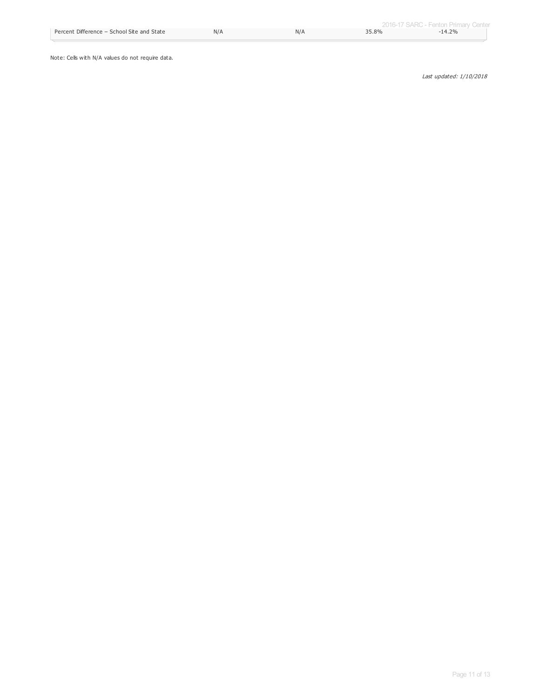Note: Cells with N/A values do not require data.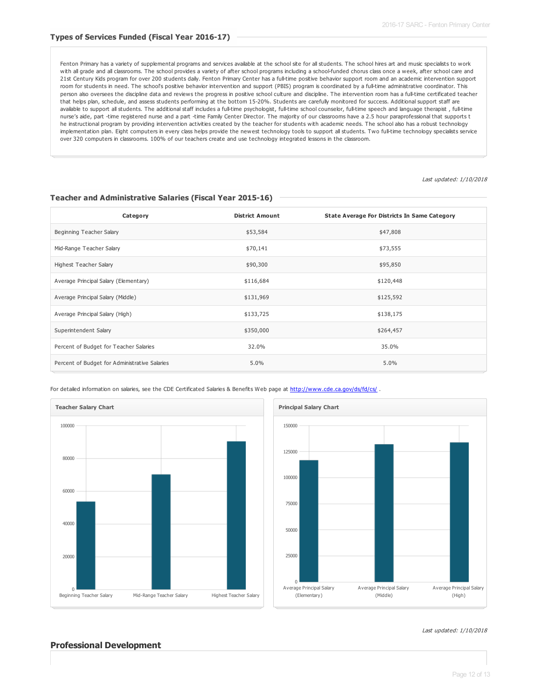Fenton Primary has a variety of supplemental programs and services available at the school site for all students. The school hires art and music specialists to work with all grade and all classrooms. The school provides a variety of after school programs including a school-funded chorus class once a week, after school care and 21st Century Kids program for over 200 students daily. Fenton Primary Center has a full-time positive behavior support room and an academic intervention support room for students in need. The school's positive behavior intervention and support (PBIS) program is coordinated by a full-time administrative coordinator. This person also oversees the discipline data and reviews the progress in positive school culture and discipline. The intervention room has a full-time certificated teacher that helps plan, schedule, and assess students performing at the bottom 15-20%. Students are carefully monitored for success. Additional support staff are available to support all students. The additional staff includes a full-time psychologist, full-time school counselor, full-time speech and language therapist, full-time nurse's aide, part -time registered nurse and a part -time Family Center Director. The majority of our classrooms have a 2.5 hour paraprofessional that supports t he instructional program by providing intervention activities created by the teacher for students with academic needs. The school also has a robust technology implementation plan. Eight computers in every class helps provide the newest technology tools to support all students. Two full-time technology specialists service over 320 computers in classrooms. 100% of our teachers create and use technology integrated lessons in the classroom.

Last updated: 1/10/2018

| Category                                      | <b>District Amount</b> | State Average For Districts In Same Category |
|-----------------------------------------------|------------------------|----------------------------------------------|
| Beginning Teacher Salary                      | \$53,584               | \$47,808                                     |
| Mid-Range Teacher Salary                      | \$70,141               | \$73,555                                     |
| <b>Highest Teacher Salary</b>                 | \$90,300               | \$95,850                                     |
| Average Principal Salary (Elementary)         | \$116,684              | \$120,448                                    |
| Average Principal Salary (Middle)             | \$131,969              | \$125,592                                    |
| Average Principal Salary (High)               | \$133,725              | \$138,175                                    |
| Superintendent Salary                         | \$350,000              | \$264,457                                    |
| Percent of Budget for Teacher Salaries        | 32.0%                  | 35.0%                                        |
| Percent of Budget for Administrative Salaries | 5.0%                   | 5.0%                                         |

#### **Teacher and Administrative Salaries (Fiscal Year 2015-16)**

For detailed information on salaries, see the CDE Certificated Salaries & Benefits Web page at <http://www.cde.ca.gov/ds/fd/cs/> .





#### Last updated: 1/10/2018

#### **Professional Development**